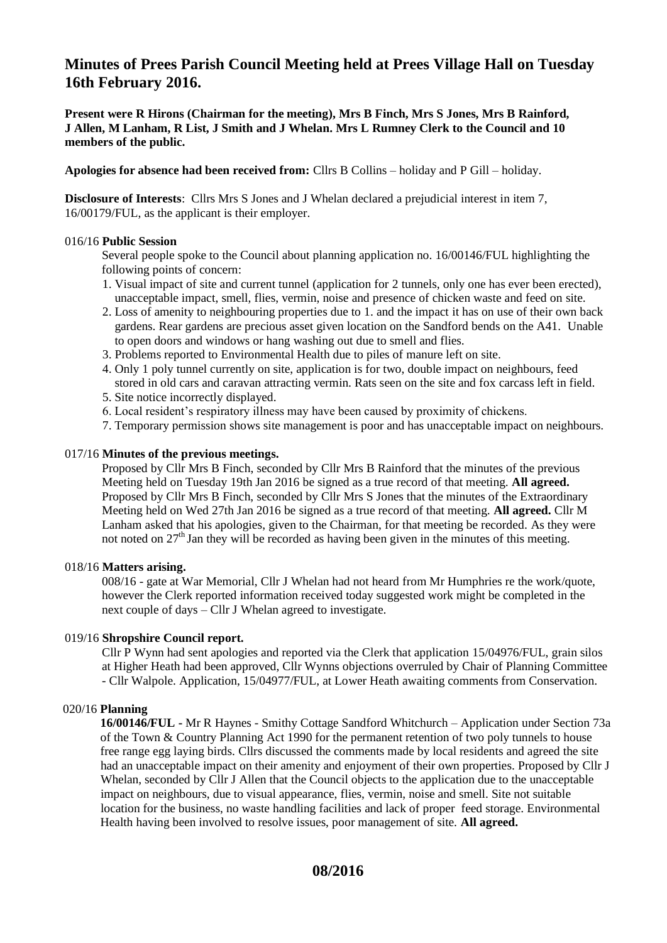# **Minutes of Prees Parish Council Meeting held at Prees Village Hall on Tuesday 16th February 2016.**

**Present were R Hirons (Chairman for the meeting), Mrs B Finch, Mrs S Jones, Mrs B Rainford, J Allen, M Lanham, R List, J Smith and J Whelan. Mrs L Rumney Clerk to the Council and 10 members of the public.** 

**Apologies for absence had been received from:** Cllrs B Collins – holiday and P Gill – holiday.

**Disclosure of Interests**: Cllrs Mrs S Jones and J Whelan declared a prejudicial interest in item 7, 16/00179/FUL, as the applicant is their employer.

# 016/16 **Public Session**

Several people spoke to the Council about planning application no. 16/00146/FUL highlighting the following points of concern:

- 1. Visual impact of site and current tunnel (application for 2 tunnels, only one has ever been erected), unacceptable impact, smell, flies, vermin, noise and presence of chicken waste and feed on site.
- 2. Loss of amenity to neighbouring properties due to 1. and the impact it has on use of their own back gardens. Rear gardens are precious asset given location on the Sandford bends on the A41. Unable to open doors and windows or hang washing out due to smell and flies.
- 3. Problems reported to Environmental Health due to piles of manure left on site.
- 4. Only 1 poly tunnel currently on site, application is for two, double impact on neighbours, feed stored in old cars and caravan attracting vermin. Rats seen on the site and fox carcass left in field.
- 5. Site notice incorrectly displayed.
- 6. Local resident's respiratory illness may have been caused by proximity of chickens.
- 7. Temporary permission shows site management is poor and has unacceptable impact on neighbours.

## 017/16 **Minutes of the previous meetings.**

 Proposed by Cllr Mrs B Finch, seconded by Cllr Mrs B Rainford that the minutes of the previous Meeting held on Tuesday 19th Jan 2016 be signed as a true record of that meeting. **All agreed.** Proposed by Cllr Mrs B Finch, seconded by Cllr Mrs S Jones that the minutes of the Extraordinary Meeting held on Wed 27th Jan 2016 be signed as a true record of that meeting. **All agreed.** Cllr M Lanham asked that his apologies, given to the Chairman, for that meeting be recorded. As they were not noted on  $27<sup>th</sup>$  Jan they will be recorded as having been given in the minutes of this meeting.

# 018/16 **Matters arising.**

 008/16 - gate at War Memorial, Cllr J Whelan had not heard from Mr Humphries re the work/quote, however the Clerk reported information received today suggested work might be completed in the next couple of days – Cllr J Whelan agreed to investigate.

# 019/16 **Shropshire Council report.**

 Cllr P Wynn had sent apologies and reported via the Clerk that application 15/04976/FUL, grain silos at Higher Heath had been approved, Cllr Wynns objections overruled by Chair of Planning Committee - Cllr Walpole. Application, 15/04977/FUL, at Lower Heath awaiting comments from Conservation.

# 020/16 **Planning**

 **16/00146/FUL -** Mr R Haynes - Smithy Cottage Sandford Whitchurch – Application under Section 73a of the Town & Country Planning Act 1990 for the permanent retention of two poly tunnels to house free range egg laying birds. Cllrs discussed the comments made by local residents and agreed the site had an unacceptable impact on their amenity and enjoyment of their own properties. Proposed by Cllr J Whelan, seconded by Cllr J Allen that the Council objects to the application due to the unacceptable impact on neighbours, due to visual appearance, flies, vermin, noise and smell. Site not suitable location for the business, no waste handling facilities and lack of proper feed storage. Environmental Health having been involved to resolve issues, poor management of site. **All agreed.**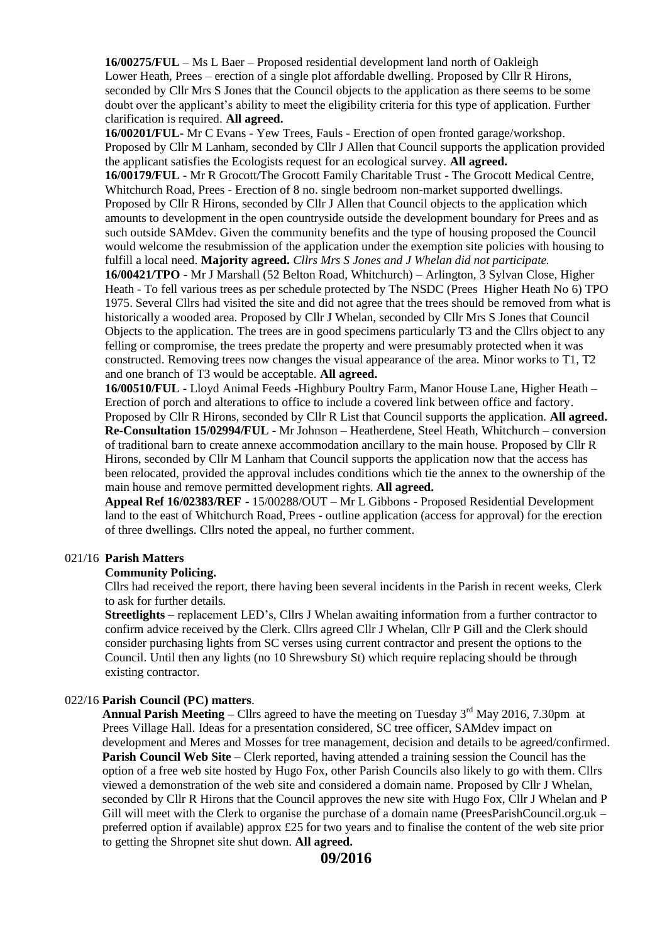**16/00275/FUL** – Ms L Baer – Proposed residential development land north of Oakleigh Lower Heath, Prees – erection of a single plot affordable dwelling. Proposed by Cllr R Hirons, seconded by Cllr Mrs S Jones that the Council objects to the application as there seems to be some doubt over the applicant's ability to meet the eligibility criteria for this type of application. Further clarification is required. **All agreed.**

 **16/00201/FUL-** Mr C Evans - Yew Trees, Fauls - Erection of open fronted garage/workshop. Proposed by Cllr M Lanham, seconded by Cllr J Allen that Council supports the application provided the applicant satisfies the Ecologists request for an ecological survey. **All agreed.**

 **16/00179/FUL** - Mr R Grocott/The Grocott Family Charitable Trust - The Grocott Medical Centre, Whitchurch Road, Prees - Erection of 8 no. single bedroom non-market supported dwellings. Proposed by Cllr R Hirons, seconded by Cllr J Allen that Council objects to the application which amounts to development in the open countryside outside the development boundary for Prees and as such outside SAMdev. Given the community benefits and the type of housing proposed the Council would welcome the resubmission of the application under the exemption site policies with housing to fulfill a local need. **Majority agreed.** *Cllrs Mrs S Jones and J Whelan did not participate.*

 **16/00421/TPO** - Mr J Marshall (52 Belton Road, Whitchurch) – Arlington, 3 Sylvan Close, Higher Heath - To fell various trees as per schedule protected by The NSDC (Prees Higher Heath No 6) TPO 1975. Several Cllrs had visited the site and did not agree that the trees should be removed from what is historically a wooded area. Proposed by Cllr J Whelan, seconded by Cllr Mrs S Jones that Council Objects to the application. The trees are in good specimens particularly T3 and the Cllrs object to any felling or compromise, the trees predate the property and were presumably protected when it was constructed. Removing trees now changes the visual appearance of the area. Minor works to T1, T2 and one branch of T3 would be acceptable. **All agreed.**

 **16/00510/FUL** - Lloyd Animal Feeds -Highbury Poultry Farm, Manor House Lane, Higher Heath – Erection of porch and alterations to office to include a covered link between office and factory. Proposed by Cllr R Hirons, seconded by Cllr R List that Council supports the application. **All agreed. Re-Consultation 15/02994/FUL** - Mr Johnson – Heatherdene, Steel Heath, Whitchurch – conversion of traditional barn to create annexe accommodation ancillary to the main house. Proposed by Cllr R Hirons, seconded by Cllr M Lanham that Council supports the application now that the access has been relocated, provided the approval includes conditions which tie the annex to the ownership of the main house and remove permitted development rights. **All agreed.**

 **Appeal Ref 16/02383/REF -** 15/00288/OUT – Mr L Gibbons - Proposed Residential Development land to the east of Whitchurch Road, Prees - outline application (access for approval) for the erection of three dwellings. Cllrs noted the appeal, no further comment.

#### 021/16 **Parish Matters**

## **Community Policing.**

Cllrs had received the report, there having been several incidents in the Parish in recent weeks, Clerk to ask for further details.

 **Streetlights –** replacement LED's, Cllrs J Whelan awaiting information from a further contractor to confirm advice received by the Clerk. Cllrs agreed Cllr J Whelan, Cllr P Gill and the Clerk should consider purchasing lights from SC verses using current contractor and present the options to the Council. Until then any lights (no 10 Shrewsbury St) which require replacing should be through existing contractor.

#### 022/16 **Parish Council (PC) matters**.

**Annual Parish Meeting –** Cllrs agreed to have the meeting on Tuesday 3<sup>rd</sup> May 2016, 7.30pm at Prees Village Hall. Ideas for a presentation considered, SC tree officer, SAMdev impact on development and Meres and Mosses for tree management, decision and details to be agreed/confirmed. **Parish Council Web Site –** Clerk reported, having attended a training session the Council has the option of a free web site hosted by Hugo Fox, other Parish Councils also likely to go with them. Cllrs viewed a demonstration of the web site and considered a domain name. Proposed by Cllr J Whelan, seconded by Cllr R Hirons that the Council approves the new site with Hugo Fox, Cllr J Whelan and P Gill will meet with the Clerk to organise the purchase of a domain name (PreesParishCouncil.org.uk – preferred option if available) approx £25 for two years and to finalise the content of the web site prior to getting the Shropnet site shut down. **All agreed.**